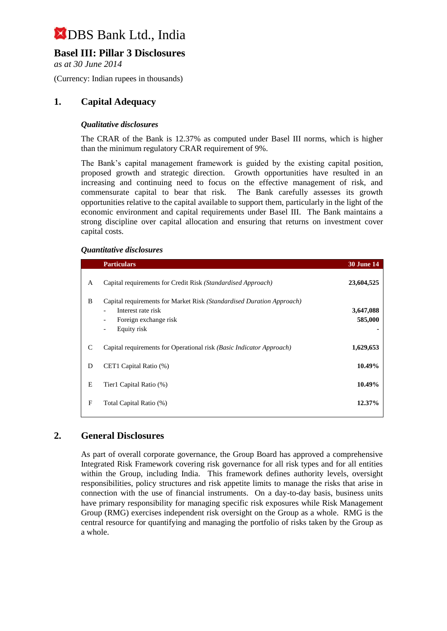## **Basel III: Pillar 3 Disclosures**

*as at 30 June 2014*

(Currency: Indian rupees in thousands)

## **1. Capital Adequacy**

#### *Qualitative disclosures*

The CRAR of the Bank is 12.37% as computed under Basel III norms, which is higher than the minimum regulatory CRAR requirement of 9%.

The Bank's capital management framework is guided by the existing capital position, proposed growth and strategic direction. Growth opportunities have resulted in an increasing and continuing need to focus on the effective management of risk, and commensurate capital to bear that risk. The Bank carefully assesses its growth opportunities relative to the capital available to support them, particularly in the light of the economic environment and capital requirements under Basel III. The Bank maintains a strong discipline over capital allocation and ensuring that returns on investment cover capital costs.

#### *Quantitative disclosures*

|              | <b>Particulars</b>                                                                                                                                                                | <b>30 June 14</b>    |
|--------------|-----------------------------------------------------------------------------------------------------------------------------------------------------------------------------------|----------------------|
| A            | Capital requirements for Credit Risk (Standardised Approach)                                                                                                                      | 23,604,525           |
| B            | Capital requirements for Market Risk (Standardised Duration Approach)<br>Interest rate risk<br>Foreign exchange risk<br>$\overline{\phantom{0}}$<br>Equity risk<br>$\overline{a}$ | 3,647,088<br>585,000 |
| $\mathsf{C}$ | Capital requirements for Operational risk (Basic Indicator Approach)                                                                                                              | 1,629,653            |
| D            | CET1 Capital Ratio (%)                                                                                                                                                            | 10.49%               |
| E            | Tier1 Capital Ratio (%)                                                                                                                                                           | 10.49%               |
| F            | Total Capital Ratio (%)                                                                                                                                                           | 12.37%               |

### **2. General Disclosures**

As part of overall corporate governance, the Group Board has approved a comprehensive Integrated Risk Framework covering risk governance for all risk types and for all entities within the Group, including India. This framework defines authority levels, oversight responsibilities, policy structures and risk appetite limits to manage the risks that arise in connection with the use of financial instruments. On a day-to-day basis, business units have primary responsibility for managing specific risk exposures while Risk Management Group (RMG) exercises independent risk oversight on the Group as a whole. RMG is the central resource for quantifying and managing the portfolio of risks taken by the Group as a whole.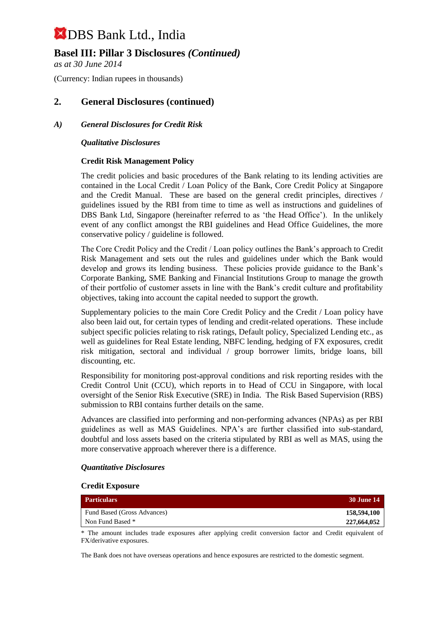## **Basel III: Pillar 3 Disclosures** *(Continued)*

*as at 30 June 2014*

(Currency: Indian rupees in thousands)

### **2. General Disclosures (continued)**

#### *A) General Disclosures for Credit Risk*

#### *Qualitative Disclosures*

#### **Credit Risk Management Policy**

The credit policies and basic procedures of the Bank relating to its lending activities are contained in the Local Credit / Loan Policy of the Bank, Core Credit Policy at Singapore and the Credit Manual. These are based on the general credit principles, directives / guidelines issued by the RBI from time to time as well as instructions and guidelines of DBS Bank Ltd, Singapore (hereinafter referred to as 'the Head Office'). In the unlikely event of any conflict amongst the RBI guidelines and Head Office Guidelines, the more conservative policy / guideline is followed.

The Core Credit Policy and the Credit / Loan policy outlines the Bank's approach to Credit Risk Management and sets out the rules and guidelines under which the Bank would develop and grows its lending business. These policies provide guidance to the Bank's Corporate Banking, SME Banking and Financial Institutions Group to manage the growth of their portfolio of customer assets in line with the Bank's credit culture and profitability objectives, taking into account the capital needed to support the growth.

Supplementary policies to the main Core Credit Policy and the Credit / Loan policy have also been laid out, for certain types of lending and credit-related operations. These include subject specific policies relating to risk ratings, Default policy, Specialized Lending etc., as well as guidelines for Real Estate lending, NBFC lending, hedging of FX exposures, credit risk mitigation, sectoral and individual / group borrower limits, bridge loans, bill discounting, etc.

Responsibility for monitoring post-approval conditions and risk reporting resides with the Credit Control Unit (CCU), which reports in to Head of CCU in Singapore, with local oversight of the Senior Risk Executive (SRE) in India. The Risk Based Supervision (RBS) submission to RBI contains further details on the same.

Advances are classified into performing and non-performing advances (NPAs) as per RBI guidelines as well as MAS Guidelines. NPA's are further classified into sub-standard, doubtful and loss assets based on the criteria stipulated by RBI as well as MAS, using the more conservative approach wherever there is a difference.

#### *Quantitative Disclosures*

#### **Credit Exposure**

| <b>Particulars</b>          | <b>30 June 14</b> |
|-----------------------------|-------------------|
| Fund Based (Gross Advances) | 158,594,100       |
| Non Fund Based *            | 227,664,052       |
|                             |                   |

\* The amount includes trade exposures after applying credit conversion factor and Credit equivalent of FX/derivative exposures.

The Bank does not have overseas operations and hence exposures are restricted to the domestic segment.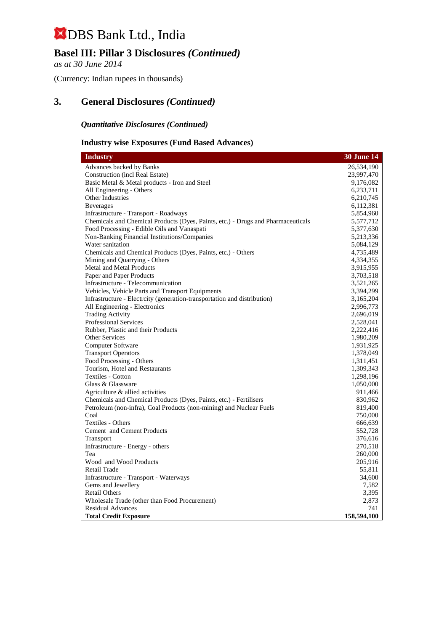## **Basel III: Pillar 3 Disclosures** *(Continued)*

*as at 30 June 2014*

(Currency: Indian rupees in thousands)

## **3. General Disclosures** *(Continued)*

## *Quantitative Disclosures (Continued)*

#### **Industry wise Exposures (Fund Based Advances)**

| <b>Industry</b>                                                                  | <b>30 June 14</b>  |
|----------------------------------------------------------------------------------|--------------------|
| Advances backed by Banks                                                         | 26,534,190         |
| Construction (incl Real Estate)                                                  | 23,997,470         |
| Basic Metal & Metal products - Iron and Steel                                    | 9,176,082          |
| All Engineering - Others                                                         | 6,233,711          |
| Other Industries                                                                 | 6,210,745          |
| <b>Beverages</b>                                                                 | 6,112,381          |
| Infrastructure - Transport - Roadways                                            | 5,854,960          |
| Chemicals and Chemical Products (Dyes, Paints, etc.) - Drugs and Pharmaceuticals | 5,577,712          |
| Food Processing - Edible Oils and Vanaspati                                      | 5,377,630          |
| Non-Banking Financial Institutions/Companies                                     | 5,213,336          |
| Water sanitation                                                                 | 5,084,129          |
| Chemicals and Chemical Products (Dyes, Paints, etc.) - Others                    | 4,735,489          |
| Mining and Quarrying - Others                                                    | 4,334,355          |
| <b>Metal and Metal Products</b>                                                  | 3,915,955          |
| Paper and Paper Products                                                         | 3,703,518          |
| Infrastructure - Telecommunication                                               | 3,521,265          |
| Vehicles, Vehicle Parts and Transport Equipments                                 | 3,394,299          |
| Infrastructure - Electrcity (generation-transportation and distribution)         | 3,165,204          |
| All Engineering - Electronics                                                    | 2,996,773          |
| <b>Trading Activity</b>                                                          | 2,696,019          |
| <b>Professional Services</b>                                                     | 2,528,041          |
| Rubber, Plastic and their Products                                               | 2,222,416          |
| <b>Other Services</b>                                                            | 1,980,209          |
| Computer Software                                                                | 1,931,925          |
| <b>Transport Operators</b>                                                       | 1,378,049          |
| Food Processing - Others                                                         | 1,311,451          |
| Tourism, Hotel and Restaurants                                                   | 1,309,343          |
| <b>Textiles - Cotton</b>                                                         | 1,298,196          |
| Glass & Glassware                                                                | 1,050,000          |
| Agriculture & allied activities                                                  | 911,466            |
| Chemicals and Chemical Products (Dyes, Paints, etc.) - Fertilisers               | 830,962            |
| Petroleum (non-infra), Coal Products (non-mining) and Nuclear Fuels              | 819,400            |
| Coal                                                                             | 750,000            |
| Textiles - Others                                                                | 666,639            |
| Cement and Cement Products                                                       | 552,728            |
| Transport                                                                        | 376,616            |
| Infrastructure - Energy - others                                                 | 270,518            |
| Tea                                                                              | 260,000            |
| Wood and Wood Products                                                           | 205,916            |
| Retail Trade                                                                     | 55,811             |
| Infrastructure - Transport - Waterways                                           | 34,600             |
| Gems and Jewellery                                                               | 7,582              |
| <b>Retail Others</b>                                                             | 3,395              |
| Wholesale Trade (other than Food Procurement)                                    | 2,873              |
| <b>Residual Advances</b>                                                         | 741<br>158,594,100 |
| <b>Total Credit Exposure</b>                                                     |                    |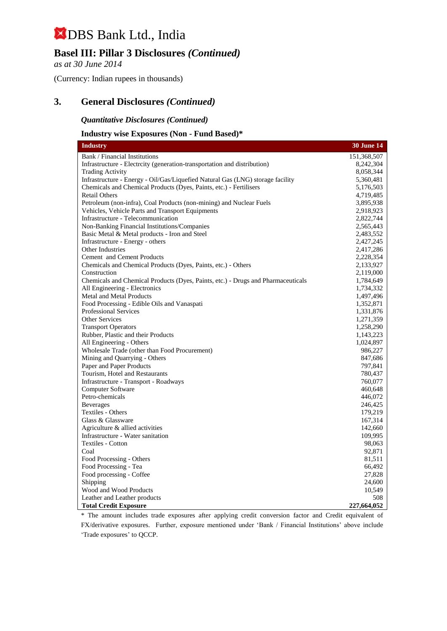## **Basel III: Pillar 3 Disclosures** *(Continued)*

*as at 30 June 2014*

(Currency: Indian rupees in thousands)

## **3. General Disclosures** *(Continued)*

*Quantitative Disclosures (Continued)*

#### **Industry wise Exposures (Non - Fund Based)\***

| <b>Industry</b>                                                                  | <b>30 June 14</b>      |
|----------------------------------------------------------------------------------|------------------------|
| Bank / Financial Institutions                                                    | 151,368,507            |
| Infrastructure - Electrcity (generation-transportation and distribution)         | 8,242,304              |
| <b>Trading Activity</b>                                                          | 8,058,344              |
| Infrastructure - Energy - Oil/Gas/Liquefied Natural Gas (LNG) storage facility   | 5,360,481              |
| Chemicals and Chemical Products (Dyes, Paints, etc.) - Fertilisers               | 5,176,503              |
| <b>Retail Others</b>                                                             | 4,719,485              |
| Petroleum (non-infra), Coal Products (non-mining) and Nuclear Fuels              | 3,895,938              |
| Vehicles, Vehicle Parts and Transport Equipments                                 | 2,918,923              |
| Infrastructure - Telecommunication                                               | 2,822,744              |
| Non-Banking Financial Institutions/Companies                                     | 2,565,443              |
| Basic Metal & Metal products - Iron and Steel                                    | 2,483,552              |
| Infrastructure - Energy - others                                                 | 2,427,245              |
| Other Industries                                                                 | 2,417,286              |
| Cement and Cement Products                                                       | 2,228,354              |
| Chemicals and Chemical Products (Dyes, Paints, etc.) - Others<br>Construction    | 2,133,927<br>2,119,000 |
| Chemicals and Chemical Products (Dyes, Paints, etc.) - Drugs and Pharmaceuticals |                        |
| All Engineering - Electronics                                                    | 1,784,649<br>1,734,332 |
| <b>Metal and Metal Products</b>                                                  | 1,497,496              |
| Food Processing - Edible Oils and Vanaspati                                      | 1,352,871              |
| <b>Professional Services</b>                                                     | 1,331,876              |
| <b>Other Services</b>                                                            | 1,271,359              |
| <b>Transport Operators</b>                                                       | 1,258,290              |
| Rubber, Plastic and their Products                                               | 1,143,223              |
| All Engineering - Others                                                         | 1,024,897              |
| Wholesale Trade (other than Food Procurement)                                    | 986,227                |
| Mining and Quarrying - Others                                                    | 847,686                |
| Paper and Paper Products                                                         | 797,841                |
| Tourism, Hotel and Restaurants                                                   | 780,437                |
| Infrastructure - Transport - Roadways                                            | 760,077                |
| <b>Computer Software</b>                                                         | 460,648                |
| Petro-chemicals                                                                  | 446,072                |
| <b>Beverages</b>                                                                 | 246,425                |
| <b>Textiles - Others</b>                                                         | 179,219                |
| Glass & Glassware                                                                | 167,314                |
| Agriculture & allied activities                                                  | 142,660                |
| Infrastructure - Water sanitation                                                | 109,995                |
| <b>Textiles - Cotton</b>                                                         | 98,063                 |
| Coal                                                                             | 92,871                 |
| Food Processing - Others                                                         | 81,511                 |
| Food Processing - Tea                                                            | 66,492                 |
| Food processing - Coffee                                                         | 27,828                 |
| Shipping                                                                         | 24,600                 |
| Wood and Wood Products                                                           | 10,549                 |
| Leather and Leather products                                                     | 508                    |
| <b>Total Credit Exposure</b>                                                     | 227,664,052            |

\* The amount includes trade exposures after applying credit conversion factor and Credit equivalent of FX/derivative exposures. Further, exposure mentioned under 'Bank / Financial Institutions' above include 'Trade exposures' to QCCP.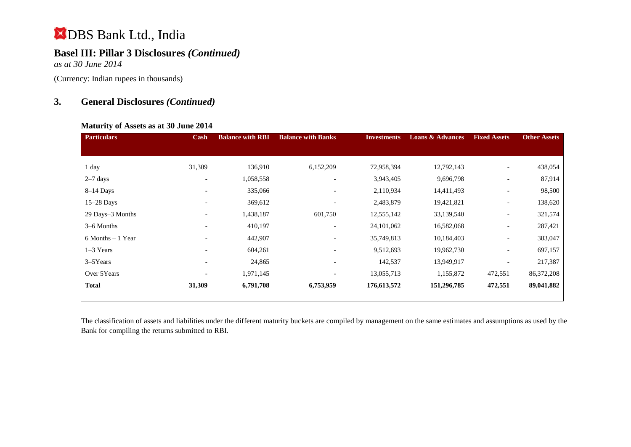## **Basel III: Pillar 3 Disclosures** *(Continued)*

*as at 30 June 2014*

(Currency: Indian rupees in thousands)

## **3. General Disclosures** *(Continued)*

#### **Maturity of Assets as at 30 June 2014**

| <b>Particulars</b>   | Cash                         | <b>Balance with RBI</b> | <b>Balance with Banks</b> | <b>Investments</b> | <b>Loans &amp; Advances</b> | <b>Fixed Assets</b>      | <b>Other Assets</b> |
|----------------------|------------------------------|-------------------------|---------------------------|--------------------|-----------------------------|--------------------------|---------------------|
|                      |                              |                         |                           |                    |                             |                          |                     |
|                      |                              |                         |                           |                    |                             |                          |                     |
| 1 day                | 31,309                       | 136,910                 | 6,152,209                 | 72,958,394         | 12,792,143                  | $\overline{\phantom{a}}$ | 438,054             |
| $2-7$ days           | $\overline{\phantom{a}}$     | 1,058,558               | $\overline{\phantom{a}}$  | 3,943,405          | 9,696,798                   | $\overline{\phantom{a}}$ | 87,914              |
| $8-14$ Days          | $\overline{\phantom{a}}$     | 335,066                 | $\overline{\phantom{a}}$  | 2,110,934          | 14,411,493                  | $\overline{\phantom{a}}$ | 98,500              |
| $15-28$ Days         |                              | 369,612                 | $\overline{\phantom{0}}$  | 2,483,879          | 19,421,821                  | $\overline{\phantom{a}}$ | 138,620             |
| 29 Days-3 Months     |                              | 1,438,187               | 601,750                   | 12,555,142         | 33,139,540                  | $\overline{\phantom{a}}$ | 321,574             |
| 3–6 Months           | $\qquad \qquad \blacksquare$ | 410,197                 | $\overline{\phantom{a}}$  | 24, 101, 062       | 16,582,068                  | $\overline{\phantom{0}}$ | 287,421             |
| $6$ Months $-1$ Year |                              | 442,907                 | $\overline{\phantom{a}}$  | 35,749,813         | 10,184,403                  | $\overline{\phantom{a}}$ | 383,047             |
| $1-3$ Years          |                              | 604,261                 | $\overline{\phantom{a}}$  | 9,512,693          | 19,962,730                  | $\overline{\phantom{a}}$ | 697,157             |
| $3-5$ Years          | $\overline{\phantom{a}}$     | 24,865                  | $\overline{\phantom{0}}$  | 142,537            | 13,949,917                  | $\overline{\phantom{a}}$ | 217,387             |
| Over 5Years          | $\qquad \qquad \blacksquare$ | 1,971,145               | $\overline{\phantom{a}}$  | 13,055,713         | 1,155,872                   | 472,551                  | 86,372,208          |
| <b>Total</b>         | 31,309                       | 6,791,708               | 6,753,959                 | 176,613,572        | 151,296,785                 | 472,551                  | 89,041,882          |

The classification of assets and liabilities under the different maturity buckets are compiled by management on the same estimates and assumptions as used by the Bank for compiling the returns submitted to RBI.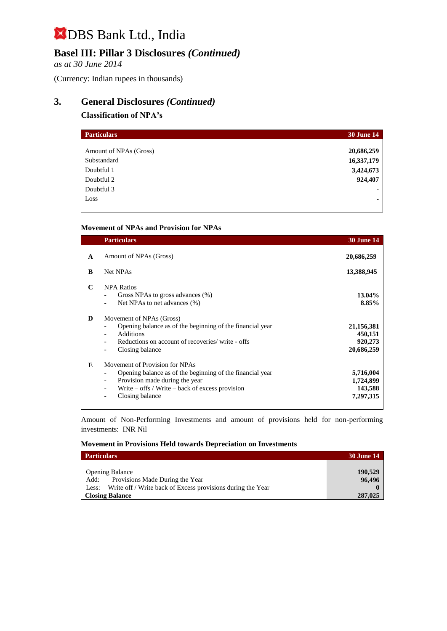## **Basel III: Pillar 3 Disclosures** *(Continued)*

*as at 30 June 2014*

(Currency: Indian rupees in thousands)

## **3. General Disclosures** *(Continued)*

#### **Classification of NPA's**

| <b>Particulars</b>     | <b>30 June 14</b> |
|------------------------|-------------------|
|                        |                   |
| Amount of NPAs (Gross) | 20,686,259        |
| Substandard            | 16,337,179        |
| Doubtful 1             | 3,424,673         |
| Doubtful 2             | 924,407           |
| Doubtful 3             |                   |
| Loss                   |                   |
|                        |                   |

#### **Movement of NPAs and Provision for NPAs**

|   | <b>Particulars</b>                                                                                                                                                                                      | <b>30 June 14</b>                              |
|---|---------------------------------------------------------------------------------------------------------------------------------------------------------------------------------------------------------|------------------------------------------------|
| A | Amount of NPAs (Gross)                                                                                                                                                                                  | 20,686,259                                     |
| B | <b>Net NPAs</b>                                                                                                                                                                                         | 13,388,945                                     |
| C | <b>NPA Ratios</b><br>Gross NPAs to gross advances (%)<br>Net NPAs to net advances (%)                                                                                                                   | 13.04%<br>8.85%                                |
| D | Movement of NPAs (Gross)<br>Opening balance as of the beginning of the financial year<br><b>Additions</b><br>Reductions on account of recoveries/write - offs<br>Closing balance                        | 21,156,381<br>450,151<br>920,273<br>20,686,259 |
| E | Movement of Provision for NPAs<br>Opening balance as of the beginning of the financial year<br>Provision made during the year<br>Write $-$ offs / Write $-$ back of excess provision<br>Closing balance | 5,716,004<br>1,724,899<br>143,588<br>7,297,315 |

Amount of Non-Performing Investments and amount of provisions held for non-performing investments:INR Nil

#### **Movement in Provisions Held towards Depreciation on Investments**

| <b>Particulars</b>                                                                                        | <b>30 June 14</b> |
|-----------------------------------------------------------------------------------------------------------|-------------------|
| <b>Opening Balance</b>                                                                                    | 190,529           |
| Add: Provisions Made During the Year<br>Less: Write off / Write back of Excess provisions during the Year | 96,496            |
| <b>Closing Balance</b>                                                                                    | 287,025           |